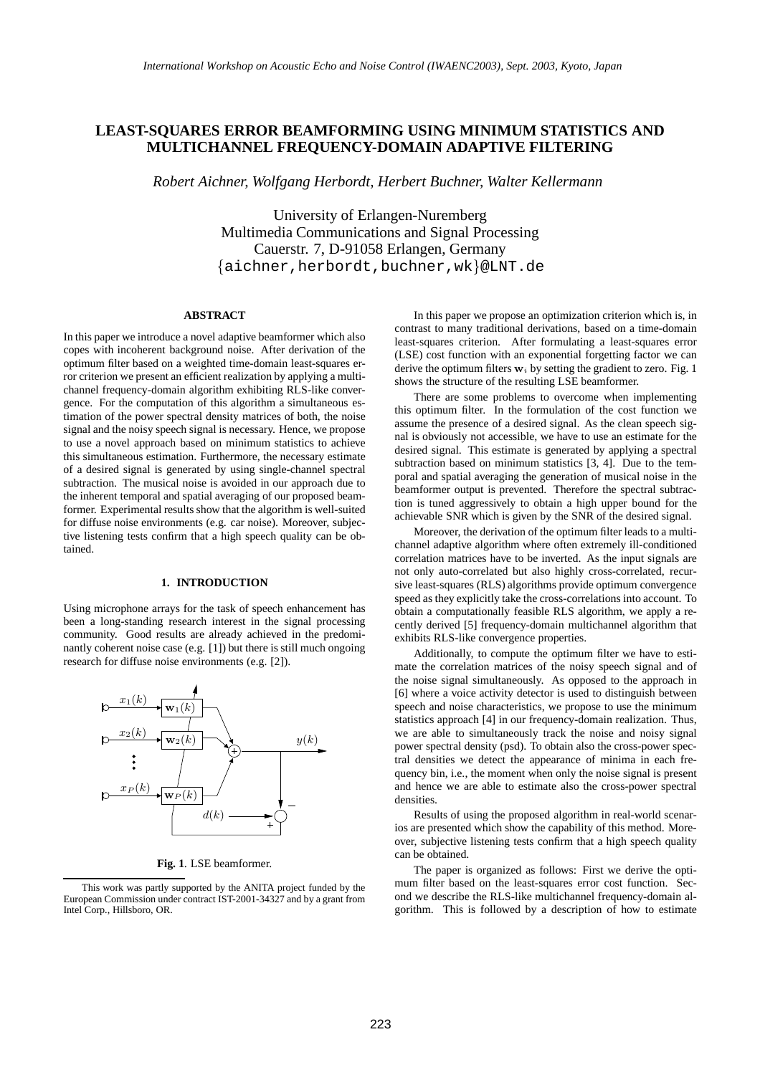# **LEAST-SQUARES ERROR BEAMFORMING USING MINIMUM STATISTICS AND MULTICHANNEL FREQUENCY-DOMAIN ADAPTIVE FILTERING**

*Robert Aichner, Wolfgang Herbordt, Herbert Buchner, Walter Kellermann*

University of Erlangen-Nuremberg Multimedia Communications and Signal Processing Cauerstr. 7, D-91058 Erlangen, Germany {aichner,herbordt,buchner,wk}@LNT.de

# **ABSTRACT**

In this paper we introduce a novel adaptive beamformer which also copes with incoherent background noise. After derivation of the optimum filter based on a weighted time-domain least-squares error criterion we present an efficient realization by applying a multichannel frequency-domain algorithm exhibiting RLS-like convergence. For the computation of this algorithm a simultaneous estimation of the power spectral density matrices of both, the noise signal and the noisy speech signal is necessary. Hence, we propose to use a novel approach based on minimum statistics to achieve this simultaneous estimation. Furthermore, the necessary estimate of a desired signal is generated by using single-channel spectral subtraction. The musical noise is avoided in our approach due to the inherent temporal and spatial averaging of our proposed beamformer. Experimental results show that the algorithm is well-suited for diffuse noise environments (e.g. car noise). Moreover, subjective listening tests confirm that a high speech quality can be obtained.

# **1. INTRODUCTION**

Using microphone arrays for the task of speech enhancement has been a long-standing research interest in the signal processing community. Good results are already achieved in the predominantly coherent noise case (e.g. [1]) but there is still much ongoing research for diffuse noise environments (e.g. [2]).



**Fig. 1**. LSE beamformer.

In this paper we propose an optimization criterion which is, in contrast to many traditional derivations, based on a time-domain least-squares criterion. After formulating a least-squares error (LSE) cost function with an exponential forgetting factor we can derive the optimum filters  $w_i$  by setting the gradient to zero. Fig. 1 shows the structure of the resulting LSE beamformer.

There are some problems to overcome when implementing this optimum filter. In the formulation of the cost function we assume the presence of a desired signal. As the clean speech signal is obviously not accessible, we have to use an estimate for the desired signal. This estimate is generated by applying a spectral subtraction based on minimum statistics [3, 4]. Due to the temporal and spatial averaging the generation of musical noise in the beamformer output is prevented. Therefore the spectral subtraction is tuned aggressively to obtain a high upper bound for the achievable SNR which is given by the SNR of the desired signal.

Moreover, the derivation of the optimum filter leads to a multichannel adaptive algorithm where often extremely ill-conditioned correlation matrices have to be inverted. As the input signals are not only auto-correlated but also highly cross-correlated, recursive least-squares (RLS) algorithms provide optimum convergence speed as they explicitly take the cross-correlations into account. To obtain a computationally feasible RLS algorithm, we apply a recently derived [5] frequency-domain multichannel algorithm that exhibits RLS-like convergence properties.

Additionally, to compute the optimum filter we have to estimate the correlation matrices of the noisy speech signal and of the noise signal simultaneously. As opposed to the approach in [6] where a voice activity detector is used to distinguish between speech and noise characteristics, we propose to use the minimum statistics approach [4] in our frequency-domain realization. Thus, we are able to simultaneously track the noise and noisy signal power spectral density (psd). To obtain also the cross-power spectral densities we detect the appearance of minima in each frequency bin, i.e., the moment when only the noise signal is present and hence we are able to estimate also the cross-power spectral densities.

Results of using the proposed algorithm in real-world scenarios are presented which show the capability of this method. Moreover, subjective listening tests confirm that a high speech quality can be obtained.

The paper is organized as follows: First we derive the optimum filter based on the least-squares error cost function. Second we describe the RLS-like multichannel frequency-domain algorithm. This is followed by a description of how to estimate

This work was partly supported by the ANITA project funded by the European Commission under contract IST-2001-34327 and by a grant from Intel Corp., Hillsboro, OR.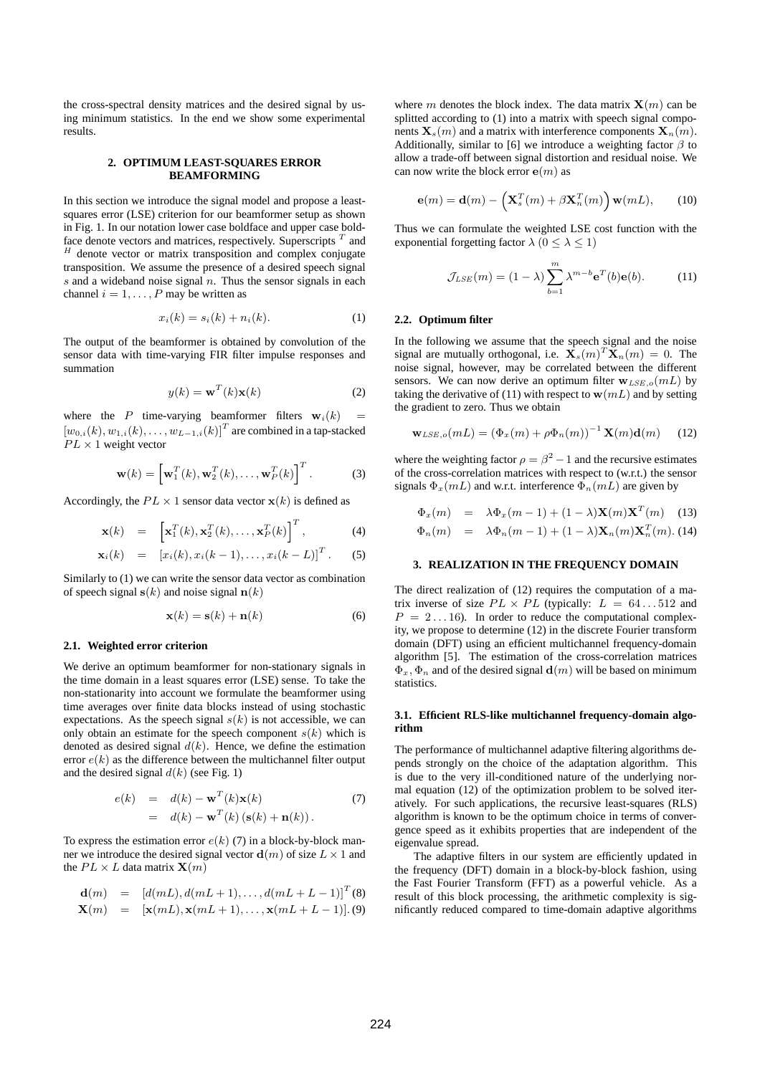the cross-spectral density matrices and the desired signal by using minimum statistics. In the end we show some experimental results.

## **2. OPTIMUM LEAST-SQUARES ERROR BEAMFORMING**

In this section we introduce the signal model and propose a leastsquares error (LSE) criterion for our beamformer setup as shown in Fig. 1. In our notation lower case boldface and upper case boldface denote vectors and matrices, respectively. Superscripts  $<sup>T</sup>$  and</sup>  $H$  denote vector or matrix transposition and complex conjugate transposition. We assume the presence of a desired speech signal  $s$  and a wideband noise signal  $n$ . Thus the sensor signals in each channel  $i = 1, \ldots, P$  may be written as

$$
x_i(k) = s_i(k) + n_i(k). \tag{1}
$$

The output of the beamformer is obtained by convolution of the sensor data with time-varying FIR filter impulse responses and summation

$$
y(k) = \mathbf{w}^{T}(k)\mathbf{x}(k)
$$
 (2)

where the P time-varying beamformer filters  $w_i(k)$  $[w_{0,i}(k), w_{1,i}(k), \ldots, w_{L-1,i}(k)]^T$  are combined in a tap-stacked  $PL \times 1$  weight vector

$$
\mathbf{w}(k) = \left[\mathbf{w}_1^T(k), \mathbf{w}_2^T(k), \dots, \mathbf{w}_P^T(k)\right]^T.
$$
 (3)

Accordingly, the  $PL \times 1$  sensor data vector  $\mathbf{x}(k)$  is defined as

$$
\mathbf{x}(k) = \left[ \mathbf{x}_1^T(k), \mathbf{x}_2^T(k), \dots, \mathbf{x}_P^T(k) \right]^T, \tag{4}
$$

$$
\mathbf{x}_i(k) = [x_i(k), x_i(k-1), \dots, x_i(k-L)]^T. \quad (5)
$$

Similarly to (1) we can write the sensor data vector as combination of speech signal  $s(k)$  and noise signal  $n(k)$ 

$$
\mathbf{x}(k) = \mathbf{s}(k) + \mathbf{n}(k) \tag{6}
$$

## **2.1. Weighted error criterion**

We derive an optimum beamformer for non-stationary signals in the time domain in a least squares error (LSE) sense. To take the non-stationarity into account we formulate the beamformer using time averages over finite data blocks instead of using stochastic expectations. As the speech signal  $s(k)$  is not accessible, we can only obtain an estimate for the speech component  $s(k)$  which is denoted as desired signal  $d(k)$ . Hence, we define the estimation error  $e(k)$  as the difference between the multichannel filter output and the desired signal  $d(k)$  (see Fig. 1)

$$
e(k) = d(k) - \mathbf{w}^{T}(k)\mathbf{x}(k)
$$
  
=  $d(k) - \mathbf{w}^{T}(k) (\mathbf{s}(k) + \mathbf{n}(k)).$  (7)

To express the estimation error  $e(k)$  (7) in a block-by-block manner we introduce the desired signal vector  $\mathbf{d}(m)$  of size  $L \times 1$  and the  $PL \times L$  data matrix  $\mathbf{X}(m)$ 

$$
\mathbf{d}(m) = [d(mL), d(mL+1), \dots, d(mL+L-1)]^T(8)
$$
  

$$
\mathbf{X}(m) = [\mathbf{x}(mL), \mathbf{x}(mL+1), \dots, \mathbf{x}(mL+L-1)]. (9)
$$

where m denotes the block index. The data matrix  $\mathbf{X}(m)$  can be splitted according to (1) into a matrix with speech signal components  $\mathbf{X}_s(m)$  and a matrix with interference components  $\mathbf{X}_n(m)$ . Additionally, similar to [6] we introduce a weighting factor  $\beta$  to allow a trade-off between signal distortion and residual noise. We can now write the block error  $e(m)$  as

$$
\mathbf{e}(m) = \mathbf{d}(m) - \left(\mathbf{X}_s^T(m) + \beta \mathbf{X}_n^T(m)\right) \mathbf{w}(mL), \quad (10)
$$

Thus we can formulate the weighted LSE cost function with the exponential forgetting factor  $\lambda$  ( $0 \leq \lambda \leq 1$ )

$$
\mathcal{J}_{LSE}(m) = (1 - \lambda) \sum_{b=1}^{m} \lambda^{m-b} \mathbf{e}^{T}(b) \mathbf{e}(b).
$$
 (11)

## **2.2. Optimum filter**

In the following we assume that the speech signal and the noise signal are mutually orthogonal, i.e.  $\mathbf{X}_s(m)^T \mathbf{X}_n(m) = 0$ . The noise signal, however, may be correlated between the different sensors. We can now derive an optimum filter  $w_{LSE,o}(mL)$  by taking the derivative of (11) with respect to  $w(mL)$  and by setting the gradient to zero. Thus we obtain

$$
\mathbf{w}_{LSE,o}(mL) = (\Phi_x(m) + \rho \Phi_n(m))^{-1} \mathbf{X}(m) \mathbf{d}(m)
$$
 (12)

where the weighting factor  $\rho = \beta^2 - 1$  and the recursive estimates of the cross-correlation matrices with respect to (w.r.t.) the sensor signals  $\Phi_x(mL)$  and w.r.t. interference  $\Phi_n(mL)$  are given by

$$
\Phi_x(m) = \lambda \Phi_x(m-1) + (1-\lambda) \mathbf{X}(m) \mathbf{X}^T(m)
$$
 (13)  

$$
\Phi_n(m) = \lambda \Phi_n(m-1) + (1-\lambda) \mathbf{X}_n(m) \mathbf{X}_n^T(m)
$$
 (14)

#### **3. REALIZATION IN THE FREQUENCY DOMAIN**

The direct realization of (12) requires the computation of a matrix inverse of size  $PL \times PL$  (typically:  $L = 64 \dots 512$  and  $P = 2 \dots 16$ . In order to reduce the computational complexity, we propose to determine (12) in the discrete Fourier transform domain (DFT) using an efficient multichannel frequency-domain algorithm [5]. The estimation of the cross-correlation matrices  $\Phi_x$ ,  $\Phi_n$  and of the desired signal  $\mathbf{d}(m)$  will be based on minimum statistics.

## **3.1. Efficient RLS-like multichannel frequency-domain algorithm**

The performance of multichannel adaptive filtering algorithms depends strongly on the choice of the adaptation algorithm. This is due to the very ill-conditioned nature of the underlying normal equation (12) of the optimization problem to be solved iteratively. For such applications, the recursive least-squares (RLS) algorithm is known to be the optimum choice in terms of convergence speed as it exhibits properties that are independent of the eigenvalue spread.

The adaptive filters in our system are efficiently updated in the frequency (DFT) domain in a block-by-block fashion, using the Fast Fourier Transform (FFT) as a powerful vehicle. As a result of this block processing, the arithmetic complexity is significantly reduced compared to time-domain adaptive algorithms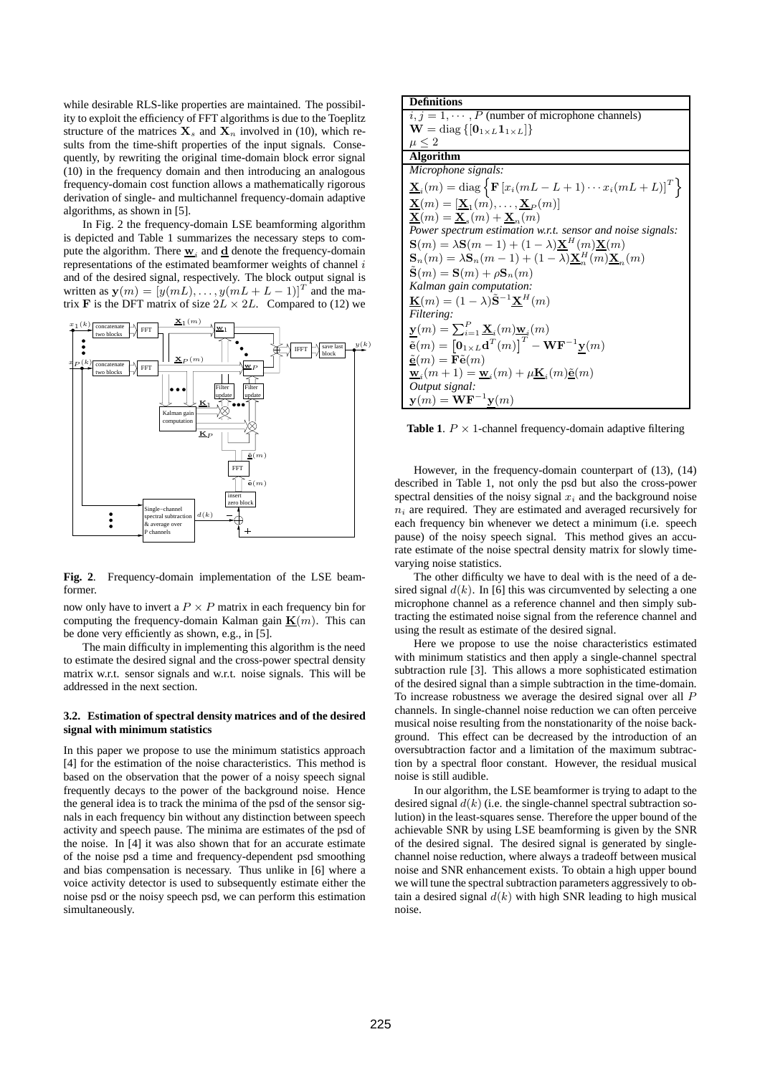while desirable RLS-like properties are maintained. The possibility to exploit the efficiency of FFT algorithms is due to the Toeplitz structure of the matrices  $X_s$  and  $X_n$  involved in (10), which results from the time-shift properties of the input signals. Consequently, by rewriting the original time-domain block error signal (10) in the frequency domain and then introducing an analogous frequency-domain cost function allows a mathematically rigorous derivation of single- and multichannel frequency-domain adaptive algorithms, as shown in [5].

In Fig. 2 the frequency-domain LSE beamforming algorithm is depicted and Table 1 summarizes the necessary steps to compute the algorithm. There  $\underline{w}_i$  and  $\underline{d}$  denote the frequency-domain representations of the estimated beamformer weights of channel  $i$ and of the desired signal, respectively. The block output signal is written as  $\mathbf{y}(m) = [y(mL), \dots, y(mL + L - 1)]^T$  and the matrix **F** is the DFT matrix of size  $2L \times 2L$ . Compared to (12) we



**Fig. 2**. Frequency-domain implementation of the LSE beamformer.

now only have to invert a  $P \times P$  matrix in each frequency bin for computing the frequency-domain Kalman gain  $K(m)$ . This can be done very efficiently as shown, e.g., in [5].

The main difficulty in implementing this algorithm is the need to estimate the desired signal and the cross-power spectral density matrix w.r.t. sensor signals and w.r.t. noise signals. This will be addressed in the next section.

## **3.2. Estimation of spectral density matrices and of the desired signal with minimum statistics**

In this paper we propose to use the minimum statistics approach [4] for the estimation of the noise characteristics. This method is based on the observation that the power of a noisy speech signal frequently decays to the power of the background noise. Hence the general idea is to track the minima of the psd of the sensor signals in each frequency bin without any distinction between speech activity and speech pause. The minima are estimates of the psd of the noise. In [4] it was also shown that for an accurate estimate of the noise psd a time and frequency-dependent psd smoothing and bias compensation is necessary. Thus unlike in [6] where a voice activity detector is used to subsequently estimate either the noise psd or the noisy speech psd, we can perform this estimation simultaneously.

**Definitions**

| $i, j = 1, \dots, P$ (number of microphone channels)                                                                        |  |
|-----------------------------------------------------------------------------------------------------------------------------|--|
| $\mathbf{W} = \text{diag} \left\{ \left[ \mathbf{0}_{1 \times L} \mathbf{1}_{1 \times L} \right] \right\}$                  |  |
| $\mu \leq 2$                                                                                                                |  |
| <b>Algorithm</b>                                                                                                            |  |
| <i>Microphone signals:</i>                                                                                                  |  |
| $\underline{\mathbf{X}}_i(m) = \text{diag}\left\{\mathbf{F}\left[x_i(mL-L+1)\cdots x_i(mL+L)\right]^T\right\}$              |  |
| $\mathbf{\underline{X}}(m) = [\mathbf{\underline{X}}_1(m), \ldots, \mathbf{\underline{X}}_P(m)]$                            |  |
| $\mathbf{X}(m) = \mathbf{X}_{\epsilon}(m) + \mathbf{X}_{\epsilon}(m)$                                                       |  |
| Power spectrum estimation w.r.t. sensor and noise signals:                                                                  |  |
| $\mathbf{S}(m) = \lambda \mathbf{S}(m-1) + (1-\lambda) \mathbf{X}^H(m) \mathbf{X}(m)$                                       |  |
| $\mathbf{S}_n(m) = \lambda \mathbf{S}_n(m-1) + (1-\lambda) \underline{\mathbf{X}}_n^H(m) \underline{\mathbf{X}}_n(m)$       |  |
| $\mathbf{S}(m) = \mathbf{S}(m) + \rho \mathbf{S}_n(m)$                                                                      |  |
| Kalman gain computation:                                                                                                    |  |
| $\mathbf{K}(m) = (1 - \lambda)\tilde{\mathbf{S}}^{-1}\mathbf{X}^{H}(m)$                                                     |  |
| Filtering:                                                                                                                  |  |
| $\mathbf{y}(m) = \sum_{i=1}^{P} \mathbf{\underline{X}}_{i}(m) \mathbf{\underline{w}}_{i}(m)$                                |  |
| $\tilde{\mathbf{e}}(m) = \left[\mathbf{0}_{1 \times L} \mathbf{d}^T(m)\right]^T - \mathbf{W} \mathbf{F}^{-1} \mathbf{y}(m)$ |  |
| $\tilde{\mathbf{e}}(m) = \mathbf{F}\tilde{\mathbf{e}}(m)$                                                                   |  |
| $\mathbf{w}_i(m+1) = \mathbf{w}_i(m) + \mu \mathbf{K}_i(m) \tilde{\mathbf{e}}(m)$                                           |  |
| Output signal:                                                                                                              |  |
| $\mathbf{y}(m) = \mathbf{W} \mathbf{F}^{-1} \mathbf{y}(m)$                                                                  |  |

**Table 1.**  $P \times 1$ -channel frequency-domain adaptive filtering

However, in the frequency-domain counterpart of (13), (14) described in Table 1, not only the psd but also the cross-power spectral densities of the noisy signal  $x_i$  and the background noise  $n_i$  are required. They are estimated and averaged recursively for each frequency bin whenever we detect a minimum (i.e. speech pause) of the noisy speech signal. This method gives an accurate estimate of the noise spectral density matrix for slowly timevarying noise statistics.

The other difficulty we have to deal with is the need of a desired signal  $d(k)$ . In [6] this was circumvented by selecting a one microphone channel as a reference channel and then simply subtracting the estimated noise signal from the reference channel and using the result as estimate of the desired signal.

Here we propose to use the noise characteristics estimated with minimum statistics and then apply a single-channel spectral subtraction rule [3]. This allows a more sophisticated estimation of the desired signal than a simple subtraction in the time-domain. To increase robustness we average the desired signal over all P channels. In single-channel noise reduction we can often perceive musical noise resulting from the nonstationarity of the noise background. This effect can be decreased by the introduction of an oversubtraction factor and a limitation of the maximum subtraction by a spectral floor constant. However, the residual musical noise is still audible.

In our algorithm, the LSE beamformer is trying to adapt to the desired signal  $d(k)$  (i.e. the single-channel spectral subtraction solution) in the least-squares sense. Therefore the upper bound of the achievable SNR by using LSE beamforming is given by the SNR of the desired signal. The desired signal is generated by singlechannel noise reduction, where always a tradeoff between musical noise and SNR enhancement exists. To obtain a high upper bound we will tune the spectral subtraction parameters aggressively to obtain a desired signal  $d(k)$  with high SNR leading to high musical noise.